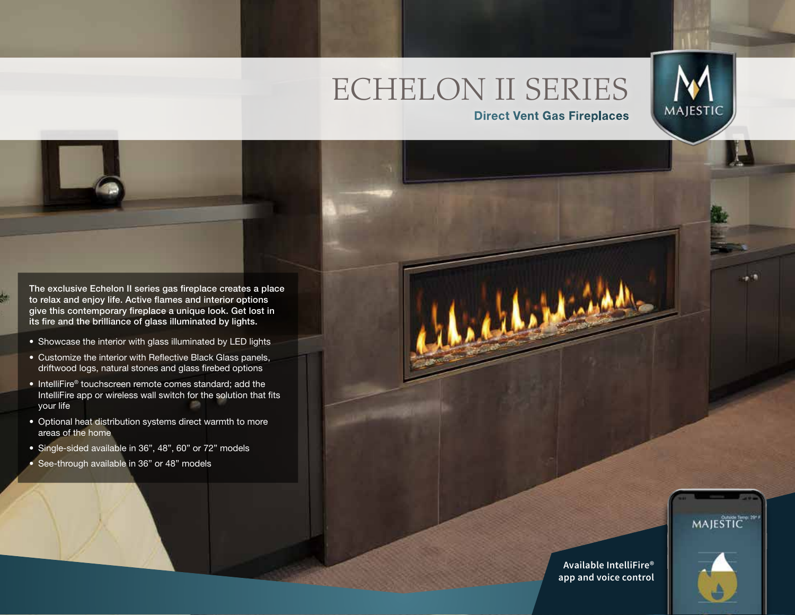# ECHELON II SERIES



**Direct Vent Gas Fireplaces**

The exclusive Echelon II series gas fireplace creates a place to relax and enjoy life. Active flames and interior options give this contemporary fireplace a unique look. Get lost in its fire and the brilliance of glass illuminated by lights.

- Showcase the interior with glass illuminated by LED lights
- Customize the interior with Reflective Black Glass panels, driftwood logs, natural stones and glass firebed options
- IntelliFire® touchscreen remote comes standard; add the IntelliFire app or wireless wall switch for the solution that fits your life
- Optional heat distribution systems direct warmth to more areas of the home
- Single-sided available in 36", 48", 60" or 72" models
- See-through available in 36" or 48" models

MAJESTIC<sup>\*</sup>

**Available IntelliFire® app and voice control**